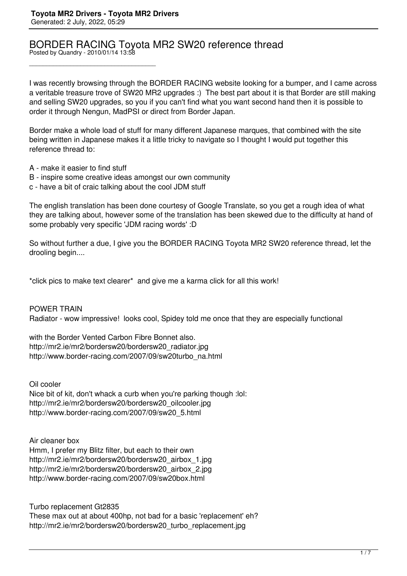## BORDER RACING Toyota MR2 SW20 reference thread

Posted by Quandry - 2010/01/14 13:58

\_\_\_\_\_\_\_\_\_\_\_\_\_\_\_\_\_\_\_\_\_\_\_\_\_\_\_\_\_\_\_\_\_\_\_\_\_

I was recently browsing through the BORDER RACING website looking for a bumper, and I came across a veritable treasure trove of SW20 MR2 upgrades :) The best part about it is that Border are still making and selling SW20 upgrades, so you if you can't find what you want second hand then it is possible to order it through Nengun, MadPSI or direct from Border Japan.

Border make a whole load of stuff for many different Japanese marques, that combined with the site being written in Japanese makes it a little tricky to navigate so I thought I would put together this reference thread to:

- A make it easier to find stuff
- B inspire some creative ideas amongst our own community
- c have a bit of craic talking about the cool JDM stuff

The english translation has been done courtesy of Google Translate, so you get a rough idea of what they are talking about, however some of the translation has been skewed due to the difficulty at hand of some probably very specific 'JDM racing words' :D

So without further a due, I give you the BORDER RACING Toyota MR2 SW20 reference thread, let the drooling begin....

\*click pics to make text clearer\* and give me a karma click for all this work!

POWER TRAIN Radiator - wow impressive! looks cool, Spidey told me once that they are especially functional

with the Border Vented Carbon Fibre Bonnet also. http://mr2.ie/mr2/bordersw20/bordersw20\_radiator.jpg http://www.border-racing.com/2007/09/sw20turbo\_na.html

Oil cooler

Nice bit of kit, don't whack a curb when you're parking though :lol: http://mr2.ie/mr2/bordersw20/bordersw20\_oilcooler.jpg http://www.border-racing.com/2007/09/sw20\_5.html

Air cleaner box Hmm, I prefer my Blitz filter, but each to their own http://mr2.ie/mr2/bordersw20/bordersw20\_airbox\_1.jpg http://mr2.ie/mr2/bordersw20/bordersw20\_airbox\_2.jpg http://www.border-racing.com/2007/09/sw20box.html

Turbo replacement Gt2835 These max out at about 400hp, not bad for a basic 'replacement' eh? http://mr2.ie/mr2/bordersw20/bordersw20\_turbo\_replacement.jpg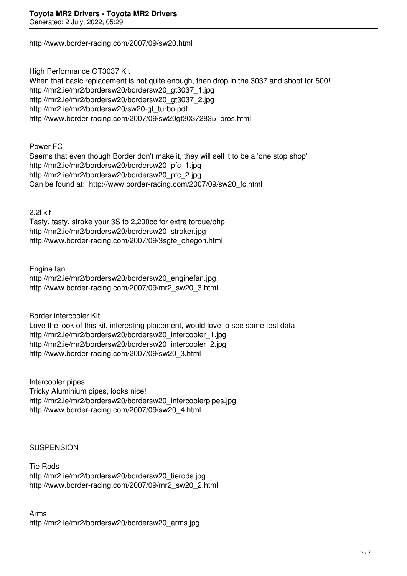http://www.border-racing.com/2007/09/sw20.html

High Performance GT3037 Kit When that basic replacement is not quite enough, then drop in the 3037 and shoot for 500! http://mr2.ie/mr2/bordersw20/bordersw20\_gt3037\_1.jpg http://mr2.ie/mr2/bordersw20/bordersw20\_gt3037\_2.jpg http://mr2.ie/mr2/bordersw20/sw20-gt\_turbo.pdf http://www.border-racing.com/2007/09/sw20gt30372835\_pros.html

Power FC

Seems that even though Border don't make it, they will sell it to be a 'one stop shop' http://mr2.ie/mr2/bordersw20/bordersw20\_pfc\_1.jpg http://mr2.ie/mr2/bordersw20/bordersw20\_pfc\_2.jpg Can be found at: http://www.border-racing.com/2007/09/sw20\_fc.html

2.2l kit

Tasty, tasty, stroke your 3S to 2,200cc for extra torque/bhp http://mr2.ie/mr2/bordersw20/bordersw20\_stroker.jpg http://www.border-racing.com/2007/09/3sgte\_ohegoh.html

Engine fan http://mr2.ie/mr2/bordersw20/bordersw20\_enginefan.jpg http://www.border-racing.com/2007/09/mr2\_sw20\_3.html

Border intercooler Kit Love the look of this kit, interesting placement, would love to see some test data http://mr2.ie/mr2/bordersw20/bordersw20\_intercooler\_1.jpg http://mr2.ie/mr2/bordersw20/bordersw20\_intercooler\_2.jpg http://www.border-racing.com/2007/09/sw20\_3.html

Intercooler pipes Tricky Aluminium pipes, looks nice! http://mr2.ie/mr2/bordersw20/bordersw20\_intercoolerpipes.jpg http://www.border-racing.com/2007/09/sw20\_4.html

## **SUSPENSION**

Tie Rods http://mr2.ie/mr2/bordersw20/bordersw20\_tierods.jpg http://www.border-racing.com/2007/09/mr2\_sw20\_2.html

Arms http://mr2.ie/mr2/bordersw20/bordersw20\_arms.jpg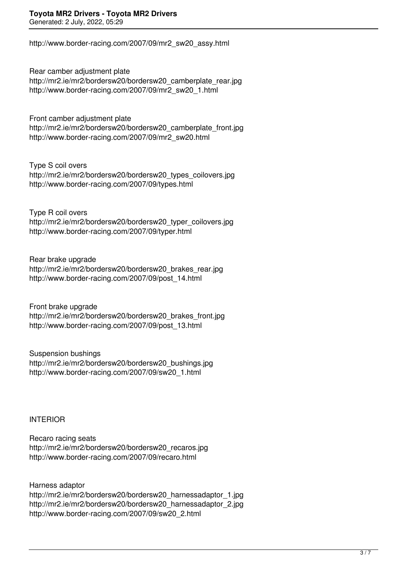http://www.border-racing.com/2007/09/mr2\_sw20\_assy.html

Rear camber adjustment plate http://mr2.ie/mr2/bordersw20/bordersw20\_camberplate\_rear.jpg http://www.border-racing.com/2007/09/mr2\_sw20\_1.html

Front camber adjustment plate http://mr2.ie/mr2/bordersw20/bordersw20\_camberplate\_front.jpg http://www.border-racing.com/2007/09/mr2\_sw20.html

Type S coil overs http://mr2.ie/mr2/bordersw20/bordersw20\_types\_coilovers.jpg http://www.border-racing.com/2007/09/types.html

Type R coil overs http://mr2.ie/mr2/bordersw20/bordersw20\_typer\_coilovers.jpg http://www.border-racing.com/2007/09/typer.html

Rear brake upgrade http://mr2.ie/mr2/bordersw20/bordersw20\_brakes\_rear.jpg http://www.border-racing.com/2007/09/post\_14.html

Front brake upgrade http://mr2.ie/mr2/bordersw20/bordersw20\_brakes\_front.jpg http://www.border-racing.com/2007/09/post\_13.html

Suspension bushings http://mr2.ie/mr2/bordersw20/bordersw20\_bushings.jpg http://www.border-racing.com/2007/09/sw20\_1.html

INTERIOR

Recaro racing seats http://mr2.ie/mr2/bordersw20/bordersw20\_recaros.jpg http://www.border-racing.com/2007/09/recaro.html

Harness adaptor http://mr2.ie/mr2/bordersw20/bordersw20\_harnessadaptor\_1.jpg http://mr2.ie/mr2/bordersw20/bordersw20\_harnessadaptor\_2.jpg http://www.border-racing.com/2007/09/sw20\_2.html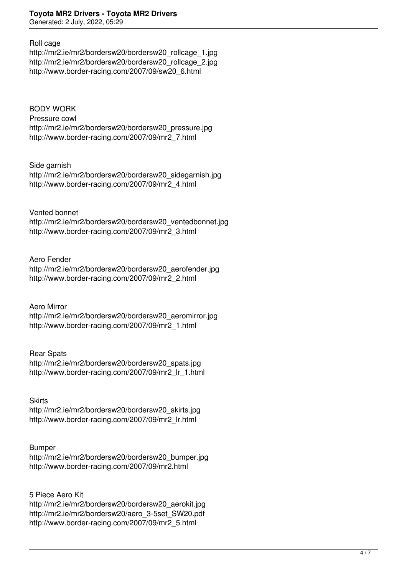## Roll cage

http://mr2.ie/mr2/bordersw20/bordersw20\_rollcage\_1.jpg http://mr2.ie/mr2/bordersw20/bordersw20\_rollcage\_2.jpg http://www.border-racing.com/2007/09/sw20\_6.html

BODY WORK Pressure cowl http://mr2.ie/mr2/bordersw20/bordersw20\_pressure.jpg http://www.border-racing.com/2007/09/mr2\_7.html

Side garnish http://mr2.ie/mr2/bordersw20/bordersw20\_sidegarnish.jpg http://www.border-racing.com/2007/09/mr2\_4.html

Vented bonnet http://mr2.ie/mr2/bordersw20/bordersw20\_ventedbonnet.jpg http://www.border-racing.com/2007/09/mr2\_3.html

Aero Fender http://mr2.ie/mr2/bordersw20/bordersw20\_aerofender.jpg http://www.border-racing.com/2007/09/mr2\_2.html

Aero Mirror http://mr2.ie/mr2/bordersw20/bordersw20\_aeromirror.jpg http://www.border-racing.com/2007/09/mr2\_1.html

Rear Spats http://mr2.ie/mr2/bordersw20/bordersw20\_spats.jpg http://www.border-racing.com/2007/09/mr2\_lr\_1.html

**Skirts** http://mr2.ie/mr2/bordersw20/bordersw20\_skirts.jpg http://www.border-racing.com/2007/09/mr2\_lr.html

## Bumper

http://mr2.ie/mr2/bordersw20/bordersw20\_bumper.jpg http://www.border-racing.com/2007/09/mr2.html

5 Piece Aero Kit http://mr2.ie/mr2/bordersw20/bordersw20\_aerokit.jpg http://mr2.ie/mr2/bordersw20/aero\_3-5set\_SW20.pdf http://www.border-racing.com/2007/09/mr2\_5.html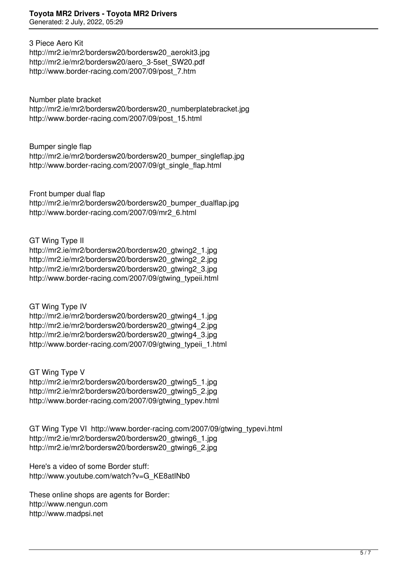Generated: 2 July, 2022, 05:29

3 Piece Aero Kit

http://mr2.ie/mr2/bordersw20/bordersw20\_aerokit3.jpg http://mr2.ie/mr2/bordersw20/aero\_3-5set\_SW20.pdf http://www.border-racing.com/2007/09/post\_7.htm

Number plate bracket http://mr2.ie/mr2/bordersw20/bordersw20\_numberplatebracket.jpg http://www.border-racing.com/2007/09/post\_15.html

Bumper single flap

http://mr2.ie/mr2/bordersw20/bordersw20\_bumper\_singleflap.jpg http://www.border-racing.com/2007/09/gt\_single\_flap.html

Front bumper dual flap http://mr2.ie/mr2/bordersw20/bordersw20\_bumper\_dualflap.jpg http://www.border-racing.com/2007/09/mr2\_6.html

GT Wing Type II

http://mr2.ie/mr2/bordersw20/bordersw20\_gtwing2\_1.jpg http://mr2.ie/mr2/bordersw20/bordersw20\_gtwing2\_2.jpg http://mr2.ie/mr2/bordersw20/bordersw20\_gtwing2\_3.jpg http://www.border-racing.com/2007/09/gtwing\_typeii.html

GT Wing Type IV http://mr2.ie/mr2/bordersw20/bordersw20\_gtwing4\_1.jpg http://mr2.ie/mr2/bordersw20/bordersw20\_gtwing4\_2.jpg http://mr2.ie/mr2/bordersw20/bordersw20\_gtwing4\_3.jpg http://www.border-racing.com/2007/09/gtwing\_typeii\_1.html

GT Wing Type V http://mr2.ie/mr2/bordersw20/bordersw20\_atwing5\_1.jpg http://mr2.ie/mr2/bordersw20/bordersw20\_gtwing5\_2.jpg http://www.border-racing.com/2007/09/gtwing\_typev.html

GT Wing Type VI http://www.border-racing.com/2007/09/gtwing\_typevi.html http://mr2.ie/mr2/bordersw20/bordersw20\_gtwing6\_1.jpg http://mr2.ie/mr2/bordersw20/bordersw20\_gtwing6\_2.jpg

Here's a video of some Border stuff: http://www.youtube.com/watch?v=G\_KE8atINb0

These online shops are agents for Border: http://www.nengun.com http://www.madpsi.net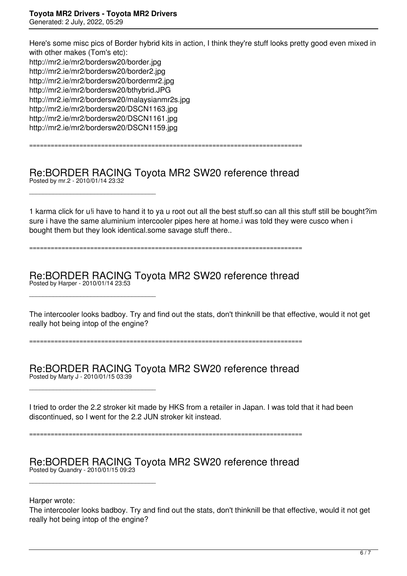\_\_\_\_\_\_\_\_\_\_\_\_\_\_\_\_\_\_\_\_\_\_\_\_\_\_\_\_\_\_\_\_\_\_\_\_\_

\_\_\_\_\_\_\_\_\_\_\_\_\_\_\_\_\_\_\_\_\_\_\_\_\_\_\_\_\_\_\_\_\_\_\_\_\_

\_\_\_\_\_\_\_\_\_\_\_\_\_\_\_\_\_\_\_\_\_\_\_\_\_\_\_\_\_\_\_\_\_\_\_\_\_

\_\_\_\_\_\_\_\_\_\_\_\_\_\_\_\_\_\_\_\_\_\_\_\_\_\_\_\_\_\_\_\_\_\_\_\_\_

Here's some misc pics of Border hybrid kits in action, I think they're stuff looks pretty good even mixed in with other makes (Tom's etc): http://mr2.ie/mr2/bordersw20/border.jpg http://mr2.ie/mr2/bordersw20/border2.jpg http://mr2.ie/mr2/bordersw20/bordermr2.jpg http://mr2.ie/mr2/bordersw20/bthybrid.JPG http://mr2.ie/mr2/bordersw20/malaysianmr2s.jpg http://mr2.ie/mr2/bordersw20/DSCN1163.jpg http://mr2.ie/mr2/bordersw20/DSCN1161.jpg http://mr2.ie/mr2/bordersw20/DSCN1159.jpg

Re:BORDER RACING Toyota MR2 SW20 reference thread Posted by mr.2 - 2010/01/14 23:32

============================================================================

1 karma click for u!i have to hand it to ya u root out all the best stuff.so can all this stuff still be bought?im sure i have the same aluminium intercooler pipes here at home.i was told they were cusco when i bought them but they look identical.some savage stuff there..

============================================================================

Re:BORDER RACING Toyota MR2 SW20 reference thread Posted by Harper - 2010/01/14 23:53

The intercooler looks badboy. Try and find out the stats, don't thinknill be that effective, would it not get really hot being intop of the engine?

============================================================================

Re:BORDER RACING Toyota MR2 SW20 reference thread Posted by Marty J - 2010/01/15 03:39

I tried to order the 2.2 stroker kit made by HKS from a retailer in Japan. I was told that it had been discontinued, so I went for the 2.2 JUN stroker kit instead.

============================================================================

Re:BORDER RACING Toyota MR2 SW20 reference thread Posted by Quandry - 2010/01/15 09:23

Harper wrote:

The intercooler looks badboy. Try and find out the stats, don't thinknill be that effective, would it not get really hot being intop of the engine?